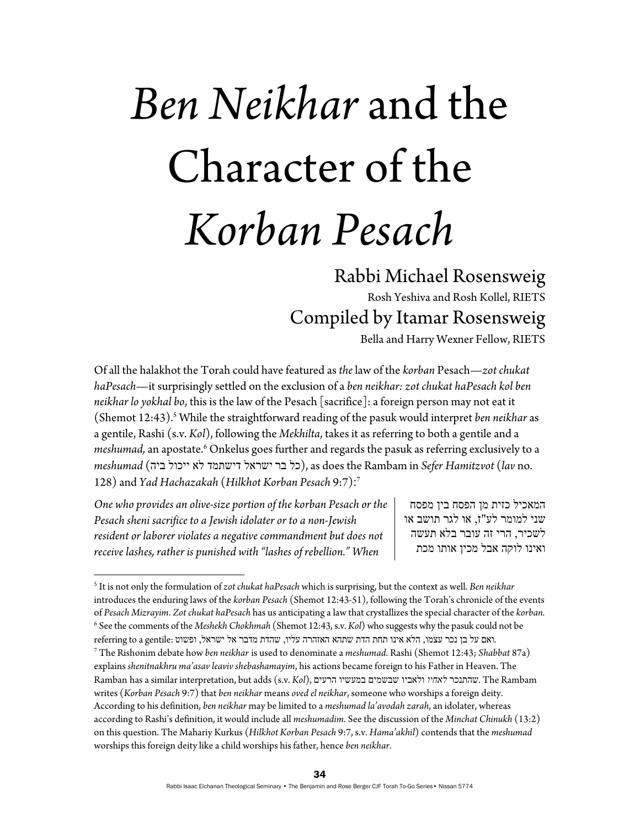## *Ben Neikhar* and the Character of the *Korban Pesach*

## Rabbi Michael Rosensweig

Rosh Yeshiva and Rosh Kollel, RIETS Compiled by Itamar Rosensweig

Bella and Harry Wexner Fellow, RIETS

Of all the halakhot the Torah could have featured as *the* law of the *korban* Pesach—*zot chukat haPesach*—it surprisingly settled on the exclusion of a *ben neikhar: zot chukat haPesach kol ben neikhar lo yokhal bo*, this is the law of the Pesach [sacrifice]: a foreign person may not eat it (Shemot 12:43).<sup>5</sup> While the straightforward reading of the pasuk would interpret ben neikhar as a gentile, Rashi (s.v. *Kol*), following the *Mekhilta*, takes it as referring to both a gentile and a meshumad, an apostate.<sup>6</sup> Onkelus goes further and regards the pasuk as referring exclusively to a *meshumad* (ביה ייכול לא דישתמד ישראל בר כל(, as does the Rambam in *Sefer Hamitzvot* (*lav* no. 128) and *Yad Hachazakah* (*Hilkhot Korban Pesach* 9:7): 7

*One who provides an olive-size portion of the korban Pesach or the Pesach sheni sacrifice to a Jewish idolater or to a non-Jewish resident or laborer violates a negative commandment but does not receive lashes, rather is punished with "lashes of rebellion." When* 

המאכיל כזית מן הפסח בין מפסח שני למומר לע"ז, או לגר תושב או לשכיר, הרי זה עובר בלא תעשה ואינו לוקה אבל מכין אותו מכת

<sup>5</sup> It is not only the formulation of *zot chukat haPesach* which is surprising, but the context as well. *Ben neikhar*  introduces the enduring laws of the *korban Pesach* (Shemot 12:43-51), following the Torah's chronicle of the events of *Pesach Mizrayim*. *Zot chukat haPesach* has us anticipating a law that crystallizes the special character of the *korban.* 6 See the comments of the *Meshekh Chokhmah* (Shemot 12:43, s.v. *Kol*) who suggests why the pasuk could not be

<sup>7</sup> .ואם על בן נכר עצמו, הלא אינו תחת הדת שתהא האזהרה עליו, שהדת מדבר אל ישראל, ופשוט :gentile a to referring

The Rishonim debate how *ben neikhar* is used to denominate a *meshumad*. Rashi (Shemot 12:43; *Shabbat* 87a) explains *shenitnakhru ma'asavleavivshebashamayim*, his actions became foreign to his Father in Heaven. The Ramban has a similar interpretation, but adds (s.v. *Kol*), הרעים במעשיו שבשמים ולאביו *לאחיו* שהתנכר. The Rambam writes (*Korban Pesach* 9:7) that *ben neikhar* means *oved el neikhar*, someone who worships a foreign deity. According to his definition, *ben neikhar* may be limited to a *meshumad la'avodah zarah*, an idolater, whereas according to Rashi's definition, it would include all *meshumadim*. See the discussion of the *Minchat Chinukh* (13:2) on this question. The Mahariy Kurkus (*Hilkhot Korban Pesach* 9:7, s.v. *Hama'akhil*) contends that the *meshumad* worships this foreign deity like a child worships his father, hence *ben neikhar*.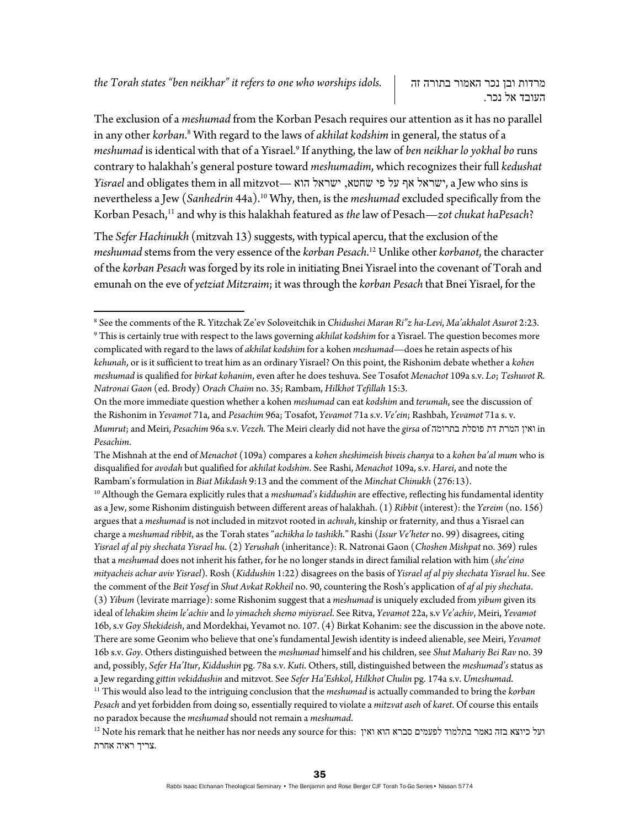The exclusion of a *meshumad* from the Korban Pesach requires our attention as it has no parallel in any other *korban*.<sup>8</sup> With regard to the laws of *akhilat kodshim* in general, the status of a *meshumad* is identical with that of a Yisrael.9 If anything, the law of *ben neikhar lo yokhal bo* runs contrary to halakhah's general posture toward *meshumadim*, which recognizes their full *kedushat Yisrael* and obligates them in all mitzvot— הוא ישראל ,שחטא פי על אף ישראל, a Jew who sins is nevertheless a Jew (*Sanhedrin* 44a).10 Why, then, is the *meshumad* excluded specifically from the Korban Pesach,11 and why is this halakhah featured as *the* law of Pesach—*zot chukat haPesach*?

The *Sefer Hachinukh* (mitzvah 13) suggests, with typical apercu, that the exclusion of the *meshumad* stems from the very essence of the *korban Pesach*. 12 Unlike other *korbanot*, the character of the *korban Pesach* was forged by its role in initiating Bnei Yisrael into the covenant of Torah and emunah on the eve of *yetziat Mitzraim*; it was through the *korban Pesach* that Bnei Yisrael, for the

The Mishnah at the end of *Menachot* (109a) compares a *kohen sheshimeish biveis chanya* to a *kohen ba'al mum* who is disqualified for *avodah* but qualified for *akhilat kodshim*. See Rashi, *Menachot* 109a, s.v. *Harei*, and note the

Rambam's formulation in *Biat Mikdash* 9:13 and the comment of the *Minchat Chinukh* (276:13).<br><sup>10</sup> Although the Gemara explicitly rules that a *meshumad's kiddushin* are effective, reflecting his fundamental identity as a Jew, some Rishonim distinguish between different areas of halakhah. (1) *Ribbit* (interest): the *Yereim* (no. 156) argues that a *meshumad* is not included in mitzvot rooted in *achvah*, kinship or fraternity, and thus a Yisrael can charge a *meshumad ribbit*, as the Torah states "*achikha lo tashikh*." Rashi (*Issur Ve'heter* no. 99) disagrees, citing *Yisrael af al piy shechata Yisrael hu*. (2) *Yerushah* (inheritance): R. Natronai Gaon (*Choshen Mishpat* no. 369) rules that a *meshumad* does not inherit his father, for he no longer stands in direct familial relation with him (*she'eino mityacheis achar aviv Yisrael*). Rosh (*Kiddushin* 1:22) disagrees on the basis of *Yisrael af al piy shechata Yisrael hu*. See the comment of the *Beit Yosef* in *Shut Avkat Rokheil* no. 90, countering the Rosh's application of *af al piy shechata*. (3) *Yibum* (levirate marriage): some Rishonim suggest that a *meshumad* is uniquely excluded from *yibum* given its ideal of *lehakim sheim le'achiv* and *lo yimacheh shemo miyisrael*. See Ritva, *Yevamot* 22a, s.v *Ve'achiv*, Meiri, *Yevamot* 16b, s.v *Goy Shekideish*, and Mordekhai, Yevamot no. 107. (4) Birkat Kohanim: see the discussion in the above note. There are some Geonim who believe that one's fundamental Jewish identity is indeed alienable, see Meiri, *Yevamot* 16b s.v. *Goy*. Others distinguished between the *meshumad* himself and his children, see *Shut Mahariy Bei Rav* no. 39 and, possibly, *Sefer Ha'Itur*, *Kiddushin* pg. 78a s.v. *Kuti*. Others, still, distinguished between the *meshumad's* status as a Jew regarding gittin vekiddushin and mitzvot. See Sefer Ha'Eshkol, Hilkhot Chulin pg. 174a s.v. Umeshumad.<br><sup>11</sup> This would also lead to the intriguing conclusion that the meshumad is actually commanded to bring the korba *Pesach* and yet forbidden from doing so, essentially required to violate a *mitzvat aseh* of *karet*. Of course this entails

no paradox because the *meshumad* should not remain a *meshumad*. 12 Note his remark that he neither has nor needs any source for this: ואין הוא סברא לפעמים בתלמוד נאמר בזה כיוצא ועל .צריך ראיה אחרת

<sup>8</sup> See the comments of the R. Yitzchak Ze'ev Soloveitchik in *Chidushei Maran Ri"z ha-Levi*, *Ma'akhalot Asurot* 2:23. 9 This is certainly true with respect to the laws governing *akhilat kodshim* for a Yisrael. The question becomes more complicated with regard to the laws of *akhilat kodshim* for a kohen *meshumad*—does he retain aspects of his *kehunah*, or is it sufficient to treat him as an ordinary Yisrael? On this point, the Rishonim debate whether a *kohen meshumad* is qualified for *birkat kohanim*, even after he does teshuva. See Tosafot *Menachot* 109a s.v. *Lo*; *Teshuvot R. Natronai Gaon* (ed. Brody) *Orach Chaim* no. 35; Rambam, *Hilkhot Tefillah* 15:3.

On the more immediate question whether a kohen *meshumad* can eat *kodshim* and *terumah*, see the discussion of the Rishonim in *Yevamot* 71a, and *Pesachim* 96a; Tosafot, *Yevamot* 71a s.v. *Ve'ein*; Rashbah, *Yevamot* 71a s. v. *Mumrut*; and Meiri, *Pesachim* 96a s.v. *Vezeh.* The Meiri clearly did not have the *girsa* of בתרומה פוסלת דת המרת ואין in *Pesachim*.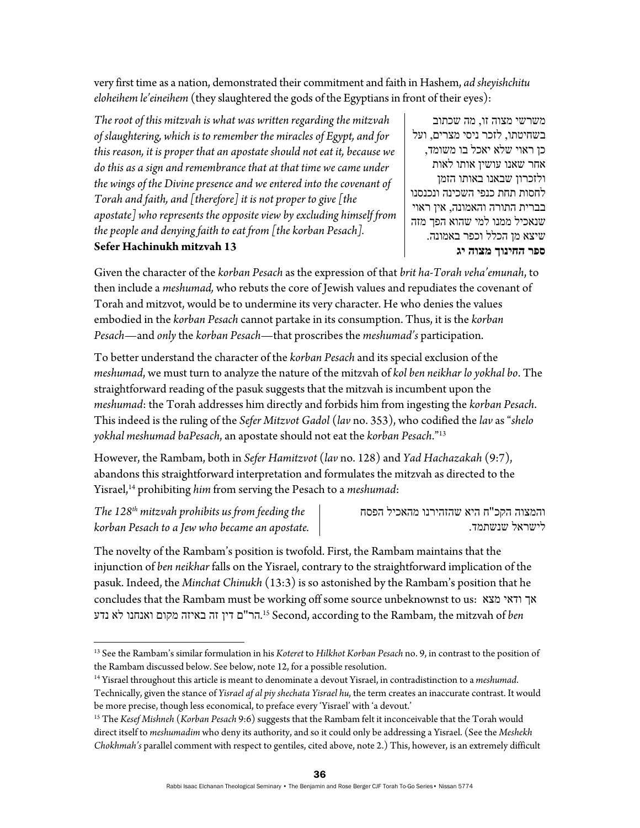very first time as a nation, demonstrated their commitment and faith in Hashem, *ad sheyishchitu eloheihem le'eineihem* (they slaughtered the gods of the Egyptians in front of their eyes):

*The root of this mitzvah is what was written regarding the mitzvah of slaughtering, which is to remember the miracles of Egypt, and for this reason, it is proper that an apostate should not eat it, because we do this as a sign and remembrance that at that time we came under the wings of the Divine presence and we entered into the covenant of Torah and faith, and [therefore] it is not proper to give [the apostate] who represents the opposite view by excluding himself from the people and denying faith to eat from [the korban Pesach].*  **Sefer Hachinukh mitzvah 13** 

משרשי מצוה זו, מה שכתוב בשחיטתו, לזכר ניסי מצרים, ועל כן ראוי שלא יאכל בו משומד, אחר שאנו עושין אותו לאות ולזכרון שבאנו באותו הזמן לחסות תחת כנפי השכינה ונכנסנו בברית התורה והאמונה, אין ראוי שנאכיל ממנו למי שהוא הפך מזה שיצא מן הכלל וכפר באמונה. **ספר החינוך מצוה יג**

Given the character of the *korban Pesach* as the expression of that *brit ha-Torah veha'emunah*, to then include a *meshumad,* who rebuts the core of Jewish values and repudiates the covenant of Torah and mitzvot, would be to undermine its very character. He who denies the values embodied in the *korban Pesach* cannot partake in its consumption. Thus, it is the *korban Pesach*—and *only* the *korban Pesach*—that proscribes the *meshumad's* participation.

To better understand the character of the *korban Pesach* and its special exclusion of the *meshumad*, we must turn to analyze the nature of the mitzvah of *kol ben neikhar lo yokhal bo*. The straightforward reading of the pasuk suggests that the mitzvah is incumbent upon the *meshumad*: the Torah addresses him directly and forbids him from ingesting the *korban Pesach*. This indeed is the ruling of the *Sefer Mitzvot Gadol* (*lav* no. 353), who codified the *lav* as "*shelo yokhal meshumad baPesach*, an apostate should not eat the *korban Pesach*."13

However, the Rambam, both in *Sefer Hamitzvot* (*lav* no. 128) and *Yad Hachazakah* (9:7), abandons this straightforward interpretation and formulates the mitzvah as directed to the Yisrael,14 prohibiting *him* from serving the Pesach to a *meshumad*:

*The 128th mitzvah prohibits us from feeding the korban Pesach to a Jew who became an apostate.*  לישראל שנשתמד.

והמצוה הקכ"ח היא שהזהירנו מהאכיל הפסח

The novelty of the Rambam's position is twofold. First, the Rambam maintains that the injunction of *ben neikhar* falls on the Yisrael, contrary to the straightforward implication of the pasuk. Indeed, the *Minchat Chinukh* (13:3) is so astonished by the Rambam's position that he concludes that the Rambam must be working off some source unbeknownst to us: מצא ודאי אך .הר"ם דין זה באיזה מקום ואנחנו לא נדע 15 Second, according to the Rambam, the mitzvah of *ben*

<sup>13</sup> See the Rambam's similar formulation in his *Koteret* to *Hilkhot Korban Pesach* no. 9, in contrast to the position of the Rambam discussed below. See below, note 12, for a possible resolution.<br><sup>14</sup> Yisrael throughout this article is meant to denominate a devout Yisrael, in contradistinction to a *meshumad*.

Technically, given the stance of *Yisrael af al piy shechata Yisrael hu*, the term creates an inaccurate contrast. It would be more precise, though less economical, to preface every 'Yisrael' with 'a devout.'

<sup>15</sup> The *Kesef Mishneh* (*Korban Pesach* 9:6) suggests that the Rambam felt it inconceivable that the Torah would direct itself to *meshumadim* who deny its authority, and so it could only be addressing a Yisrael. (See the *Meshekh Chokhmah's* parallel comment with respect to gentiles, cited above, note 2.) This, however, is an extremely difficult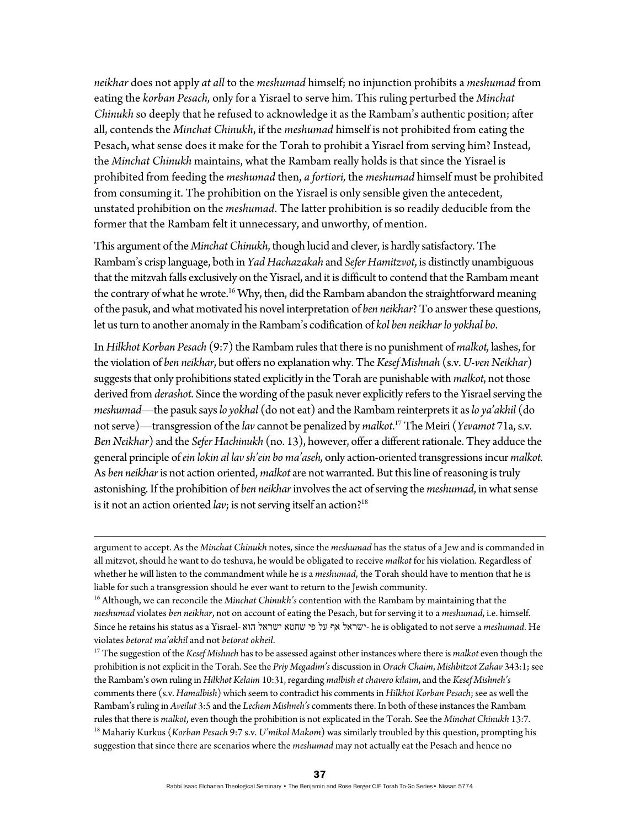*neikhar* does not apply *at all* to the *meshumad* himself; no injunction prohibits a *meshumad* from eating the *korban Pesach,* only for a Yisrael to serve him. This ruling perturbed the *Minchat Chinukh* so deeply that he refused to acknowledge it as the Rambam's authentic position; after all, contends the *Minchat Chinukh*, if the *meshumad* himself is not prohibited from eating the Pesach, what sense does it make for the Torah to prohibit a Yisrael from serving him? Instead, the *Minchat Chinukh* maintains, what the Rambam really holds is that since the Yisrael is prohibited from feeding the *meshumad* then, *a fortiori,* the *meshumad* himself must be prohibited from consuming it. The prohibition on the Yisrael is only sensible given the antecedent, unstated prohibition on the *meshumad*. The latter prohibition is so readily deducible from the former that the Rambam felt it unnecessary, and unworthy, of mention.

This argument of the *Minchat Chinukh*, though lucid and clever, is hardly satisfactory. The Rambam's crisp language, both in *Yad Hachazakah* and *Sefer Hamitzvot*, is distinctly unambiguous that the mitzvah falls exclusively on the Yisrael, and it is difficult to contend that the Rambam meant the contrary of what he wrote.<sup>16</sup> Why, then, did the Rambam abandon the straightforward meaning of the pasuk, and what motivated his novel interpretation of *ben neikhar*? To answer these questions, let us turn to another anomaly in the Rambam's codification of *kol ben neikhar lo yokhal bo*.

In *HilkhotKorban Pesach* (9:7) the Rambam rules that there is no punishment of *malkot,* lashes, for the violation of *ben neikhar*, but offers no explanation why. The *Kesef Mishnah* (s.v. *U*-*ven Neikhar*) suggests that only prohibitions stated explicitly in the Torah are punishable with *malkot*, not those derived from *derashot*. Since the wording of the pasuk never explicitly refers to the Yisrael serving the *meshumad*—the pasuk says *lo yokhal* (do not eat) and the Rambam reinterprets it as *lo ya'akhil* (do not serve)—transgression of the *lav* cannot be penalized by *malkot*. 17 The Meiri (*Yevamot* 71a, s.v. *Ben Neikhar*) and the *Sefer Hachinukh* (no. 13), however, offer a different rationale. They adduce the general principle of *ein lokin al lav sh'ein bo ma'aseh,* only action-oriented transgressions incur *malkot.* As *ben neikhar* is not action oriented, *malkot* are not warranted. But this line of reasoning is truly astonishing. If the prohibition of *ben neikhar* involves the act of serving the *meshumad*, in what sense is it not an action oriented  $lav$ ; is not serving itself an action?<sup>18</sup>

<u> 1989 - Johann Stoff, amerikansk politiker (d. 1989)</u>

argument to accept. As the *Minchat Chinukh* notes, since the *meshumad* has the status of a Jew and is commanded in all mitzvot, should he want to do teshuva, he would be obligated to receive *malkot* for his violation. Regardless of whether he will listen to the commandment while he is a *meshumad*, the Torah should have to mention that he is liable for such a transgression should he ever want to return to the Jewish community. 16 Although, we can reconcile the *Minchat Chinukh's* contention with the Rambam by maintaining that the

*meshumad* violates *ben neikhar*, not on account of eating the Pesach, but for serving it to a *meshumad*, i.e. himself. Since he retains his status as a Yisrael- הוא ישראל שחטא פי על אף ישראל- he is obligated to not serve a *meshumad*. He violates *betorat ma'akhil* and not *betorat okheil*. 17 The suggestion of the *Kesef Mishneh* has to be assessed against other instances where there is *malkot* even though the

prohibition is not explicit in the Torah. See the *Priy Megadim's* discussion in *Orach Chaim*, *Mishbitzot Zahav* 343:1; see the Rambam's own ruling in *Hilkhot Kelaim* 10:31, regarding *malbish et chavero kilaim*, and the *Kesef Mishneh's* comments there (s.v. *Hamalbish*) which seem to contradict his comments in *Hilkhot Korban Pesach*; see as well the Rambam's ruling in *Aveilut* 3:5 and the *Lechem Mishneh's* comments there. In both of these instances the Rambam rules that there is malkot, even though the prohibition is not explicated in the Torah. See the Minchat Chinukh 13:7.<br><sup>18</sup> Mahariy Kurkus (*Korban Pesach 9:7 s.v. U'mikol Makom*) was similarly troubled by this question, pr suggestion that since there are scenarios where the *meshumad* may not actually eat the Pesach and hence no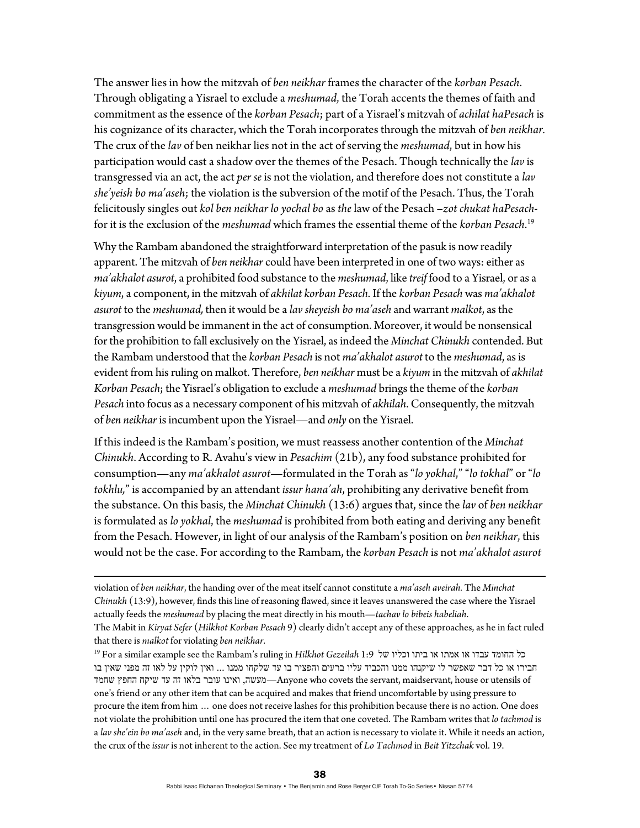The answer lies in how the mitzvah of *ben neikhar* frames the character of the *korban Pesach*. Through obligating a Yisrael to exclude a *meshumad*, the Torah accents the themes of faith and commitment as the essence of the *korban Pesach*; part of a Yisrael's mitzvah of *achilat haPesach* is his cognizance of its character, which the Torah incorporates through the mitzvah of *ben neikhar.* The crux of the *lav* of ben neikhar lies not in the act of serving the *meshumad*, but in how his participation would cast a shadow over the themes of the Pesach. Though technically the *lav* is transgressed via an act, the act *per se* is not the violation, and therefore does not constitute a *lav she'yeish bo ma'aseh*; the violation is the subversion of the motif of the Pesach. Thus, the Torah felicitously singles out *kol ben neikhar lo yochal bo* as *the* law of the Pesach –*zot chukat haPesach*for it is the exclusion of the *meshumad* which frames the essential theme of the *korban Pesach*. 19

Why the Rambam abandoned the straightforward interpretation of the pasuk is now readily apparent. The mitzvah of *ben neikhar* could have been interpreted in one of two ways: either as *ma'akhalot asurot*, a prohibited food substance to the *meshumad*, like *treif* food to a Yisrael, or as a *kiyum*, a component, in the mitzvah of *akhilat korban Pesach*. If the *korban Pesach* was *ma'akhalot asurot* to the *meshumad,* then it would be a *lav sheyeish bo ma'aseh* and warrant *malkot*, as the transgression would be immanent in the act of consumption. Moreover, it would be nonsensical for the prohibition to fall exclusively on the Yisrael, as indeed the *Minchat Chinukh* contended. But the Rambam understood that the *korban Pesach* is not *ma'akhalot asurot* to the *meshumad*, as is evident from his ruling on malkot. Therefore, *ben neikhar* must be a *kiyum* in the mitzvah of *akhilat Korban Pesach*; the Yisrael's obligation to exclude a *meshumad* brings the theme of the *korban Pesach* into focus as a necessary component of his mitzvah of *akhilah*. Consequently, the mitzvah of *ben neikhar* is incumbent upon the Yisrael—and *only* on the Yisrael.

If this indeed is the Rambam's position, we must reassess another contention of the *Minchat Chinukh*. According to R. Avahu's view in *Pesachim* (21b), any food substance prohibited for consumption—any *ma'akhalot asurot*—formulated in the Torah as "*lo yokhal*," "*lo tokhal*" or "*lo tokhlu,*" is accompanied by an attendant *issur hana'ah*, prohibiting any derivative benefit from the substance. On this basis, the *Minchat Chinukh* (13:6) argues that, since the *lav* of *ben neikhar* is formulated as *lo yokhal*, the *meshumad* is prohibited from both eating and deriving any benefit from the Pesach. However, in light of our analysis of the Rambam's position on *ben neikhar*, this would not be the case. For according to the Rambam, the *korban Pesach* is not *ma'akhalot asurot*

<u> 1989 - Johann Stoff, amerikansk politiker (d. 1989)</u>

violation of *ben neikhar*, the handing over of the meat itself cannot constitute a *ma'aseh aveirah.* The *Minchat Chinukh* (13:9), however, finds this line of reasoning flawed, since it leaves unanswered the case where the Yisrael actually feeds the *meshumad* by placing the meat directly in his mouth—*tachav lo bibeis habeliah*.

The Mabit in *Kiryat Sefer* (*Hilkhot Korban Pesach* 9) clearly didn't accept any of these approaches, as he in fact ruled that there is *malkot* for violating *ben neikhar*. 19 For a similar example see the Rambam's ruling in *Hilkhot Gezeilah* 1:9 של וכליו ביתו או אמתו או עבדו החומד כל

חבירו או כל דבר שאפשר לו שיקנהו ממנו והכביד עליו ברעים והפציר בו עד שלקחו ממנו ... ואין לוקין על לאו זה מפני שאין בו שחמד החפץ שיקח עד זה בלאו עובר ואינו ,מעשה—Anyone who covets the servant, maidservant, house or utensils of one's friend or any other item that can be acquired and makes that friend uncomfortable by using pressure to procure the item from him … one does not receive lashes for this prohibition because there is no action. One does not violate the prohibition until one has procured the item that one coveted. The Rambam writes that *lo tachmod* is a *lav she'ein bo ma'aseh* and, in the very same breath, that an action is necessary to violate it. While it needs an action, the crux of the *issur* is not inherent to the action. See my treatment of *Lo Tachmod* in *Beit Yitzchak* vol. 19.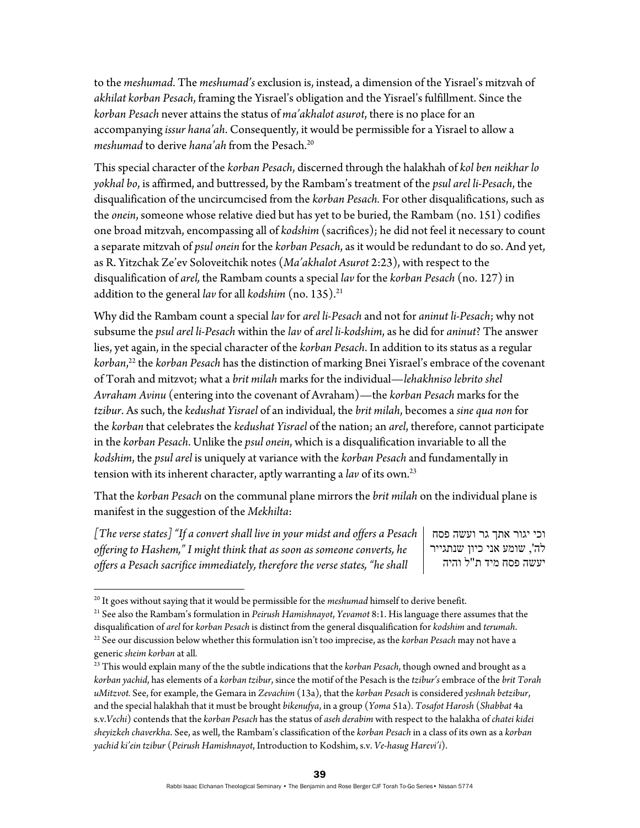to the *meshumad*. The *meshumad's* exclusion is, instead, a dimension of the Yisrael's mitzvah of *akhilat korban Pesach*, framing the Yisrael's obligation and the Yisrael's fulfillment. Since the *korban Pesach* never attains the status of *ma'akhalot asurot*, there is no place for an accompanying *issur hana'ah*. Consequently, it would be permissible for a Yisrael to allow a *meshumad* to derive *hana'ah* from the Pesach.<sup>20</sup>

This special character of the *korban Pesach*, discerned through the halakhah of *kol ben neikhar lo yokhal bo*, is affirmed, and buttressed, by the Rambam's treatment of the *psul arel li-Pesach*, the disqualification of the uncircumcised from the *korban Pesach.* For other disqualifications, such as the *onein*, someone whose relative died but has yet to be buried, the Rambam (no. 151) codifies one broad mitzvah, encompassing all of *kodshim* (sacrifices); he did not feel it necessary to count a separate mitzvah of *psul onein* for the *korban Pesach*, as it would be redundant to do so. And yet, as R. Yitzchak Ze'ev Soloveitchik notes (*Ma'akhalot Asurot* 2:23), with respect to the disqualification of *arel,* the Rambam counts a special *lav* for the *korban Pesach* (no. 127) in addition to the general *lav* for all *kodshim* (no. 135).<sup>21</sup>

Why did the Rambam count a special *lav* for *arel li-Pesach* and not for *aninut li-Pesach*; why not subsume the *psul arel li-Pesach* within the *lav* of *arel li-kodshim*, as he did for *aninut*? The answer lies, yet again, in the special character of the *korban Pesach*. In addition to its status as a regular *korban*, 22 the *korban Pesach* has the distinction of marking Bnei Yisrael's embrace of the covenant of Torah and mitzvot; what a *brit milah* marks for the individual—*lehakhniso lebrito shel Avraham Avinu* (entering into the covenant of Avraham)—the *korban Pesach* marks for the *tzibur*. As such, the *kedushat Yisrael* of an individual, the *brit milah*, becomes a *sine qua non* for the *korban* that celebrates the *kedushat Yisrael* of the nation; an *arel*, therefore, cannot participate in the *korban Pesach*. Unlike the *psul onein*, which is a disqualification invariable to all the *kodshim*, the *psul arel* is uniquely at variance with the *korban Pesach* and fundamentally in tension with its inherent character, aptly warranting a *lav* of its own.23

That the *korban Pesach* on the communal plane mirrors the *brit milah* on the individual plane is manifest in the suggestion of the *Mekhilta*:

*[The verse states] "If a convert shall live in your midst and offers a Pesach offering to Hashem," I might think that as soon as someone converts, he offers a Pesach sacrifice immediately, therefore the verse states, "he shall* 

וכי יגור אתך גר ועשה פסח לה', שומע אני כיון שנתגייר יעשה פסח מיד ת"ל והיה

<sup>&</sup>lt;sup>20</sup> It goes without saying that it would be permissible for the *meshumad* himself to derive benefit.<br><sup>21</sup> See also the Rambam's formulation in *Peirush Hamishnayot, Yevamot 8*:1. His language there assumes that the disqualification of *arel* for *korban Pesach* is distinct from the general disqualification for *kodshim* and *terumah*.<br><sup>22</sup> See our discussion below whether this formulation isn't too imprecise, as the *korban Pesach*

generic *sheim korban* at all*.* 

<sup>23</sup> This would explain many of the the subtle indications that the *korban Pesach*, though owned and brought as a *korban yachid*, has elements of a *korban tzibur*, since the motif of the Pesach is the *tzibur's* embrace of the *brit Torah uMitzvot.* See, for example, the Gemara in *Zevachim* (13a), that the *korban Pesach* is considered *yeshnah betzibur*, and the special halakhah that it must be brought *bikenufya*, in a group (*Yoma* 51a). *Tosafot Harosh* (*Shabbat* 4a s.v.*Vechi*) contends that the *korban Pesach* has the status of *aseh derabim* with respect to the halakha of *chatei kidei sheyizkeh chaverkha*. See, as well, the Rambam's classification of the *korban Pesach* in a class of its own as a *korban yachid ki'ein tzibur* (*Peirush Hamishnayot*, Introduction to Kodshim, s.v. *Ve-hasug Harevi'i*).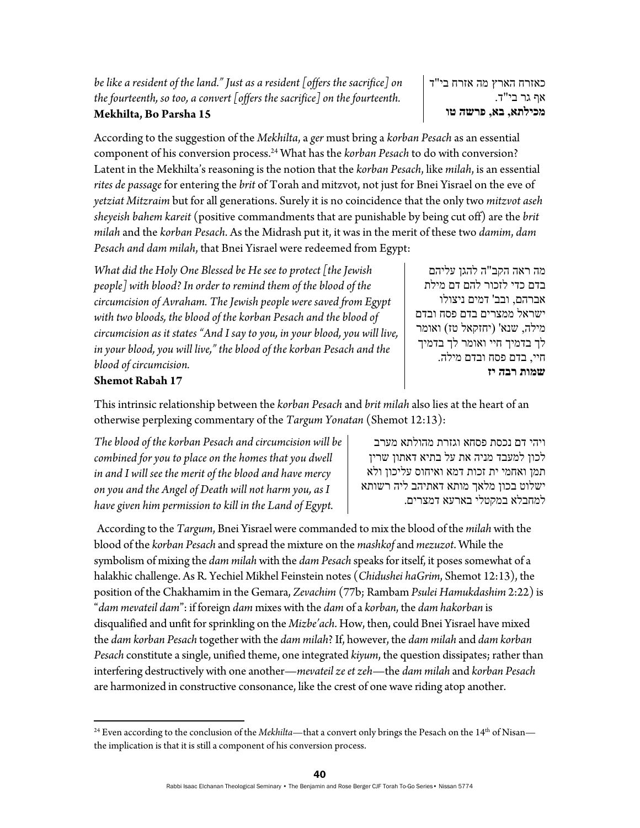*be like a resident of the land." Just as a resident [offers the sacrifice] on the fourteenth, so too, a convert [offers the sacrifice] on the fourteenth.*  **Mekhilta, Bo Parsha 15** 

כאזרח הארץ מה אזרח בי"ד אף גר בי"ד. **מכילתא, בא, פרשה טו**

According to the suggestion of the *Mekhilta*, a *ger* must bring a *korban Pesach* as an essential component of his conversion process.24 What has the *korban Pesach* to do with conversion? Latent in the Mekhilta's reasoning is the notion that the *korban Pesach*, like *milah*, is an essential *rites de passage* for entering the *brit* of Torah and mitzvot, not just for Bnei Yisrael on the eve of *yetziat Mitzraim* but for all generations. Surely it is no coincidence that the only two *mitzvot aseh sheyeish bahem kareit* (positive commandments that are punishable by being cut off) are the *brit milah* and the *korban Pesach*. As the Midrash put it, it was in the merit of these two *damim*, *dam Pesach and dam milah*, that Bnei Yisrael were redeemed from Egypt:

*What did the Holy One Blessed be He see to protect [the Jewish people] with blood? In order to remind them of the blood of the circumcision of Avraham. The Jewish people were saved from Egypt with two bloods, the blood of the korban Pesach and the blood of circumcision as it states "And I say to you, in your blood, you will live, in your blood, you will live," the blood of the korban Pesach and the blood of circumcision.* 

מה ראה הקב"ה להגן עליהם בדם כדי לזכור להם דם מילת אברהם, ובב' דמים ניצולו ישראל ממצרים בדם פסח ובדם מילה, שנא' (יחזקאל טז) ואומר לך בדמיך חיי ואומר לך בדמיך חיי, בדם פסח ובדם מילה. **שמות רבה יז**

## **Shemot Rabah 17**

This intrinsic relationship between the *korban Pesach* and *brit milah* also lies at the heart of an otherwise perplexing commentary of the *Targum Yonatan* (Shemot 12:13):

*The blood of the korban Pesach and circumcision will be combined for you to place on the homes that you dwell in and I will see the merit of the blood and have mercy on you and the Angel of Death will not harm you, as I have given him permission to kill in the Land of Egypt.* 

ויהי דם נכסת פסחא וגזרת מהולתא מערב לכון למעבד מניה את על בתיא דאתון שרין תמן ואחמי ית זכות דמא ואיחוס עליכון ולא ישלוט בכון מלאך מותא דאתיהב ליה רשותא למחבלא במקטלי בארעא דמצרים.

According to the *Targum*, Bnei Yisrael were commanded to mix the blood of the *milah* with the blood of the *korban Pesach* and spread the mixture on the *mashkof* and *mezuzot*. While the symbolism of mixing the *dam milah* with the *dam Pesach* speaks for itself, it poses somewhat of a halakhic challenge. As R. Yechiel Mikhel Feinstein notes (*Chidushei haGrim*, Shemot 12:13), the position of the Chakhamim in the Gemara, *Zevachim* (77b; Rambam *Psulei Hamukdashim* 2:22) is "*dam mevateil dam*": if foreign *dam* mixes with the *dam* of a *korban*, the *dam hakorban* is disqualified and unfit for sprinkling on the *Mizbe'ach*. How, then, could Bnei Yisrael have mixed the *dam korban Pesach* together with the *dam milah*? If, however, the *dam milah* and *dam korban Pesach* constitute a single, unified theme, one integrated *kiyum*, the question dissipates; rather than interfering destructively with one another—*mevateil ze et zeh*—the *dam milah* and *korban Pesach* are harmonized in constructive consonance, like the crest of one wave riding atop another.

<sup>&</sup>lt;sup>24</sup> Even according to the conclusion of the *Mekhilta*—that a convert only brings the Pesach on the 14<sup>th</sup> of Nisan the implication is that it is still a component of his conversion process.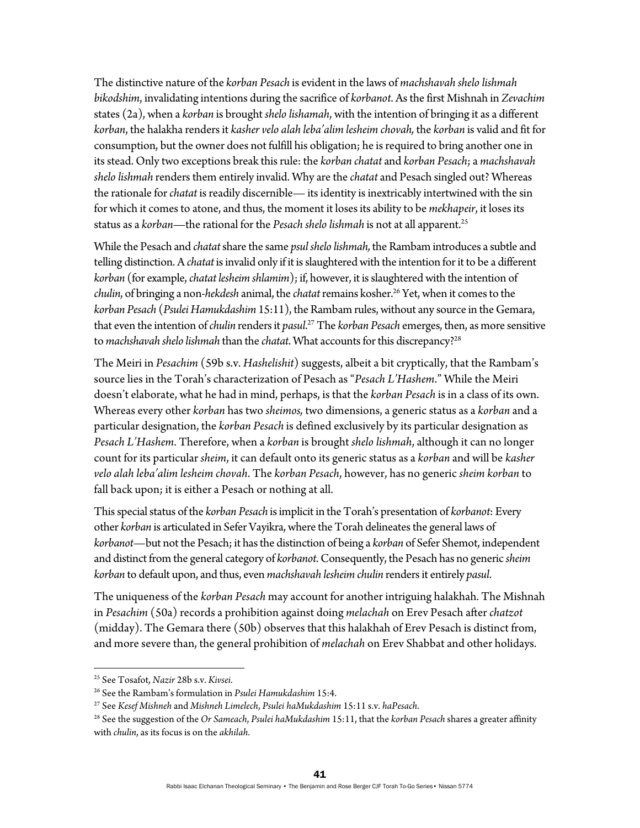The distinctive nature of the *korban Pesach* is evident in the laws of *machshavah shelo lishmah bikodshim*, invalidating intentions during the sacrifice of *korbanot*. As the first Mishnah in *Zevachim* states (2a), when a *korban* is brought *shelo lishamah*, with the intention of bringing it as a different *korban*, the halakha renders it *kasher velo alah leba'alim lesheim chovah,* the *korban* is valid and fit for consumption, but the owner does not fulfill his obligation; he is required to bring another one in its stead. Only two exceptions break this rule: the *korban chatat* and *korban Pesach*; a *machshavah shelo lishmah* renders them entirely invalid. Why are the *chatat* and Pesach singled out? Whereas the rationale for *chatat* is readily discernible— its identity is inextricably intertwined with the sin for which it comes to atone, and thus, the moment it loses its ability to be *mekhapeir*, it loses its status as a *korban*—the rational for the *Pesach shelo lishmah* is not at all apparent.25

While the Pesach and *chatat* share the same *psul shelo lishmah,* the Rambam introduces a subtle and telling distinction. A *chatat* is invalid only if it is slaughtered with the intention for it to be a different *korban* (for example, *chatat lesheim shlamim*); if, however, it is slaughtered with the intention of *chulin*, of bringing a non-*hekdesh* animal, the *chatat* remains kosher.26 Yet, when it comes to the *korban Pesach* (*Psulei Hamukdashim* 15:11), the Rambam rules, without any source in the Gemara, that even the intention of *chulin* renders it *pasul*. 27 The *korban Pesach* emerges, then, as more sensitive to *machshavah shelo lishmah* than the *chatat*. What accounts for this discrepancy?28

The Meiri in *Pesachim* (59b s.v. *Hashelishit*) suggests, albeit a bit cryptically, that the Rambam's source lies in the Torah's characterization of Pesach as "*Pesach L'Hashem*." While the Meiri doesn't elaborate, what he had in mind, perhaps, is that the *korban Pesach* is in a class of its own. Whereas every other *korban* has two *sheimos,* two dimensions, a generic status as a *korban* and a particular designation, the *korban Pesach* is defined exclusively by its particular designation as *Pesach L'Hashem*. Therefore, when a *korban* is brought *shelo lishmah*, although it can no longer count for its particular *sheim*, it can default onto its generic status as a *korban* and will be *kasher velo alah leba'alim lesheim chovah*. The *korban Pesach*, however, has no generic *sheim korban* to fall back upon; it is either a Pesach or nothing at all.

This special status of the *korban Pesach* is implicit in the Torah's presentation of *korbanot*: Every other *korban* is articulated in Sefer Vayikra, where the Torah delineates the general laws of *korbanot*—but not the Pesach; it has the distinction of being a *korban* of Sefer Shemot, independent and distinct from the general category of *korbanot*. Consequently, the Pesach has no generic *sheim korban* to default upon, and thus, even *machshavah lesheim chulin* renders it entirely *pasul*.

The uniqueness of the *korban Pesach* may account for another intriguing halakhah. The Mishnah in *Pesachim* (50a) records a prohibition against doing *melachah* on Erev Pesach after *chatzot* (midday). The Gemara there (50b) observes that this halakhah of Erev Pesach is distinct from, and more severe than, the general prohibition of *melachah* on Erev Shabbat and other holidays.

<sup>&</sup>lt;sup>25</sup> See Tosafot, Nazir 28b s.v. Kivsei.

<sup>&</sup>lt;sup>26</sup> See the Rambam's formulation in *Psulei Hamukdashim* 15:4.<br><sup>27</sup> See *Kesef Mishneh* and *Mishneh Limelech, Psulei haMukdashim* 15:11 s.v. *haPesach.*<br><sup>28</sup> See the suggestion of the *Or Sameach, Psulei haMukdashim* 15: with *chulin*, as its focus is on the *akhilah*.